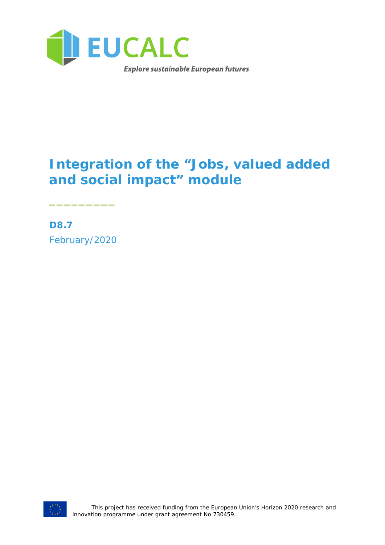

# **Integration of the "Jobs, valued added and social impact" module**

**D8.7** February/2020

\_\_\_\_\_\_\_\_\_

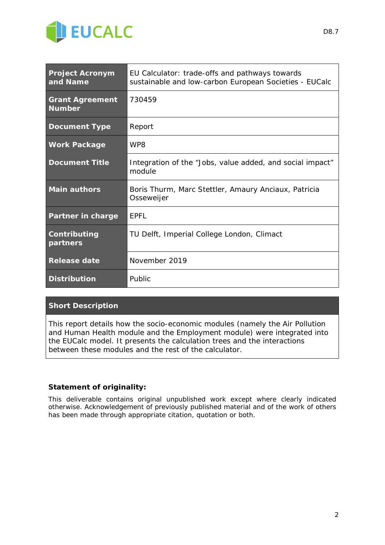

| <b>Project Acronym</b><br>and Name      | EU Calculator: trade-offs and pathways towards<br>sustainable and low-carbon European Societies - EUCalc |
|-----------------------------------------|----------------------------------------------------------------------------------------------------------|
| <b>Grant Agreement</b><br><b>Number</b> | 730459                                                                                                   |
| <b>Document Type</b>                    | Report                                                                                                   |
| <b>Work Package</b>                     | WP8                                                                                                      |
| <b>Document Title</b>                   | Integration of the "Jobs, value added, and social impact"<br>module                                      |
| <b>Main authors</b>                     | Boris Thurm, Marc Stettler, Amaury Anciaux, Patricia<br>Osseweijer                                       |
| Partner in charge                       | <b>EPFL</b>                                                                                              |
| Contributing<br>partners                | TU Delft, Imperial College London, Climact                                                               |
| <b>Release date</b>                     | November 2019                                                                                            |
| <b>Distribution</b>                     | Public                                                                                                   |

#### **Short Description**

*This report details how the socio-economic modules (namely the Air Pollution and Human Health module and the Employment module) were integrated into the EUCalc model. It presents the calculation trees and the interactions between these modules and the rest of the calculator.*

#### **Statement of originality:**

This deliverable contains original unpublished work except where clearly indicated otherwise. Acknowledgement of previously published material and of the work of others has been made through appropriate citation, quotation or both.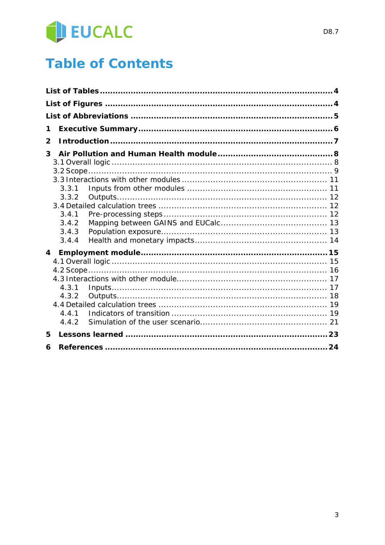

# **Table of Contents**

| 3.3.1 |                                  |
|-------|----------------------------------|
| 3.3.2 |                                  |
|       |                                  |
| 3.4.1 |                                  |
|       |                                  |
|       |                                  |
|       |                                  |
|       |                                  |
|       |                                  |
|       |                                  |
|       |                                  |
| 4.3.1 |                                  |
| 4.3.2 |                                  |
|       |                                  |
| 4.4.1 |                                  |
|       |                                  |
|       |                                  |
|       |                                  |
|       | 3.4.2<br>3.4.3<br>3.4.4<br>4.4.2 |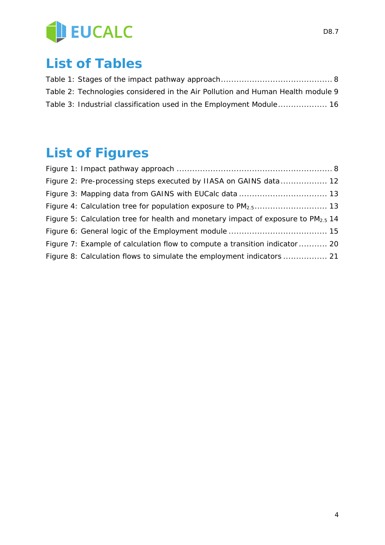

# **List of Tables**

| Table 2: Technologies considered in the Air Pollution and Human Health module 9 |  |
|---------------------------------------------------------------------------------|--|
| Table 3: Industrial classification used in the Employment Module 16             |  |

# **List of Figures**

| Figure 2: Pre-processing steps executed by IIASA on GAINS data 12                      |  |
|----------------------------------------------------------------------------------------|--|
|                                                                                        |  |
|                                                                                        |  |
| Figure 5: Calculation tree for health and monetary impact of exposure to $PM_{2.5}$ 14 |  |
|                                                                                        |  |
| Figure 7: Example of calculation flow to compute a transition indicator 20             |  |
| Figure 8: Calculation flows to simulate the employment indicators  21                  |  |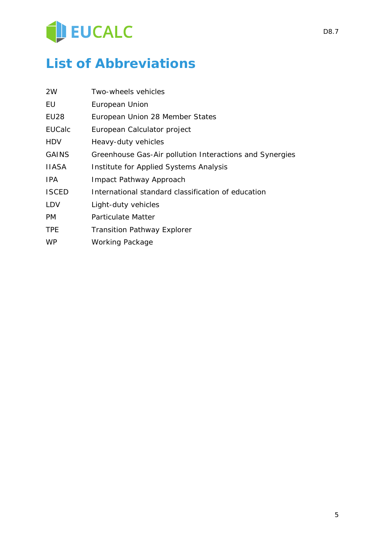

# **List of Abbreviations**

| 2W               | Two-wheels vehicles                                     |
|------------------|---------------------------------------------------------|
| EU               | European Union                                          |
| EU <sub>28</sub> | European Union 28 Member States                         |
| <b>EUCalc</b>    | European Calculator project                             |
| HDV              | Heavy-duty vehicles                                     |
| <b>GAINS</b>     | Greenhouse Gas-Air pollution Interactions and Synergies |
| IIASA            | Institute for Applied Systems Analysis                  |
| IPA.             | Impact Pathway Approach                                 |
| <b>ISCED</b>     | International standard classification of education      |
| LDV              | Light-duty vehicles                                     |
| PM               | <b>Particulate Matter</b>                               |
| <b>TPE</b>       | <b>Transition Pathway Explorer</b>                      |
| <b>WP</b>        | <b>Working Package</b>                                  |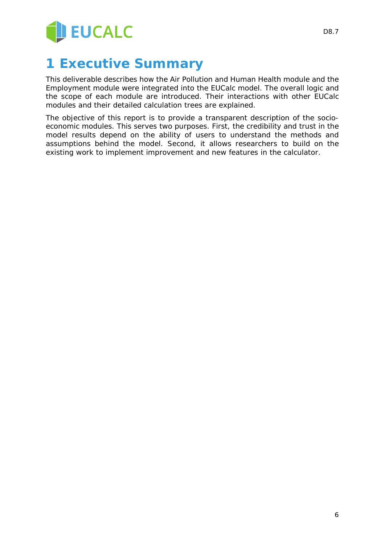

# **1 Executive Summary**

This deliverable describes how the Air Pollution and Human Health module and the Employment module were integrated into the EUCalc model. The overall logic and the scope of each module are introduced. Their interactions with other EUCalc modules and their detailed calculation trees are explained.

The objective of this report is to provide a transparent description of the socioeconomic modules. This serves two purposes. First, the credibility and trust in the model results depend on the ability of users to understand the methods and assumptions behind the model. Second, it allows researchers to build on the existing work to implement improvement and new features in the calculator.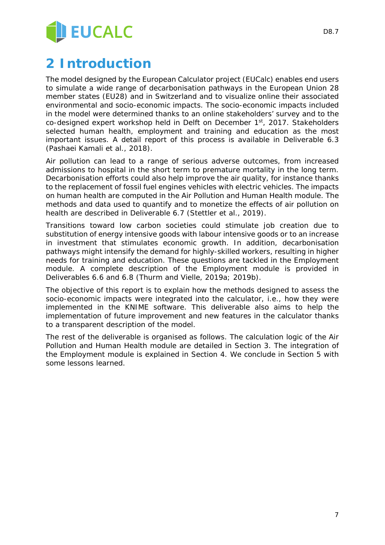

# **2 Introduction**

The model designed by the European Calculator project (EUCalc) enables end users to simulate a wide range of decarbonisation pathways in the European Union 28 member states (EU28) and in Switzerland and to visualize online their associated environmental and socio-economic impacts. The socio-economic impacts included in the model were determined thanks to an online stakeholders' survey and to the co-designed expert workshop held in Delft on December 1<sup>st</sup>, 2017. Stakeholders selected human health, employment and training and education as the most important issues. A detail report of this process is available in Deliverable 6.3 (Pashaei Kamali et al., 2018).

Air pollution can lead to a range of serious adverse outcomes, from increased admissions to hospital in the short term to premature mortality in the long term. Decarbonisation efforts could also help improve the air quality, for instance thanks to the replacement of fossil fuel engines vehicles with electric vehicles. The impacts on human health are computed in the Air Pollution and Human Health module. The methods and data used to quantify and to monetize the effects of air pollution on health are described in Deliverable 6.7 (Stettler et al., 2019).

Transitions toward low carbon societies could stimulate job creation due to substitution of energy intensive goods with labour intensive goods or to an increase in investment that stimulates economic growth. In addition, decarbonisation pathways might intensify the demand for highly-skilled workers, resulting in higher needs for training and education. These questions are tackled in the Employment module. A complete description of the Employment module is provided in Deliverables 6.6 and 6.8 (Thurm and Vielle, 2019a; 2019b).

The objective of this report is to explain how the methods designed to assess the socio-economic impacts were integrated into the calculator, i.e., how they were implemented in the KNIME software. This deliverable also aims to help the implementation of future improvement and new features in the calculator thanks to a transparent description of the model.

The rest of the deliverable is organised as follows. The calculation logic of the Air Pollution and Human Health module are detailed in Section 3. The integration of the Employment module is explained in Section 4. We conclude in Section 5 with some lessons learned.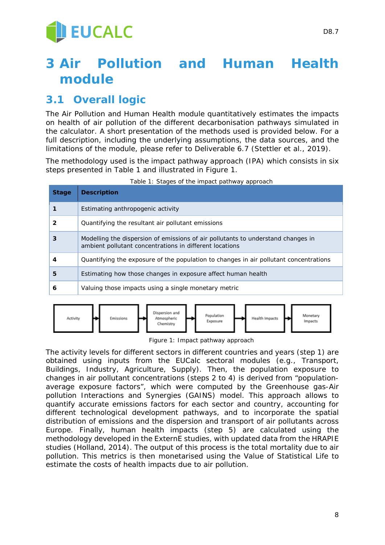# **3 Air Pollution and Human Health module**

## **3.1 Overall logic**

The Air Pollution and Human Health module quantitatively estimates the impacts on health of air pollution of the different decarbonisation pathways simulated in the calculator. A short presentation of the methods used is provided below. For a full description, including the underlying assumptions, the data sources, and the limitations of the module, please refer to Deliverable 6.7 (Stettler et al., 2019).

The methodology used is the impact pathway approach (IPA) which consists in six steps presented in Table 1 and illustrated in Figure 1.

| <b>Stage</b> | <b>Description</b>                                                                                                                          |
|--------------|---------------------------------------------------------------------------------------------------------------------------------------------|
|              | Estimating anthropogenic activity                                                                                                           |
| 2            | Quantifying the resultant air pollutant emissions                                                                                           |
| 3            | Modelling the dispersion of emissions of air pollutants to understand changes in<br>ambient pollutant concentrations in different locations |
| 4            | Quantifying the exposure of the population to changes in air pollutant concentrations                                                       |
| 5            | Estimating how those changes in exposure affect human health                                                                                |
| 6            | Valuing those impacts using a single monetary metric                                                                                        |

*Table 1: Stages of the impact pathway approach*



*Figure 1: Impact pathway approach*

The activity levels for different sectors in different countries and years (step 1) are obtained using inputs from the EUCalc sectoral modules (e.g., Transport, Buildings, Industry, Agriculture, Supply). Then, the population exposure to changes in air pollutant concentrations (steps 2 to 4) is derived from "populationaverage exposure factors", which were computed by the Greenhouse gas-Air pollution Interactions and Synergies (GAINS) model. This approach allows to quantify accurate emissions factors for each sector and country, accounting for different technological development pathways, and to incorporate the spatial distribution of emissions and the dispersion and transport of air pollutants across Europe. Finally, human health impacts (step 5) are calculated using the methodology developed in the ExternE studies, with updated data from the HRAPIE studies (Holland, 2014). The output of this process is the total mortality due to air pollution. This metrics is then monetarised using the Value of Statistical Life to estimate the costs of health impacts due to air pollution.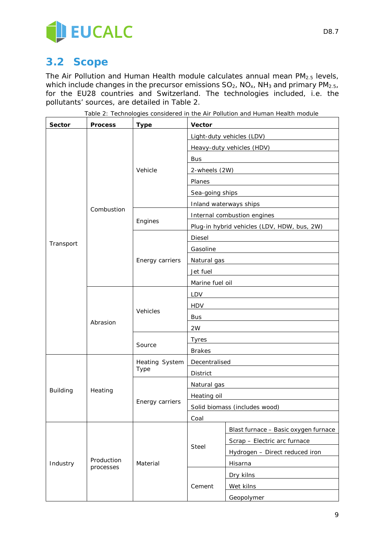

## **3.2 Scope**

The Air Pollution and Human Health module calculates annual mean PM<sub>2.5</sub> levels, which include changes in the precursor emissions  $SO_2$ ,  $NO_{x}$ ,  $NH_3$  and primary  $PM_{2.5}$ , for the EU28 countries and Switzerland. The technologies included, i.e. the pollutants' sources, are detailed in Table 2.

| Sector          | <b>Process</b>          | <b>Type</b>                   | Vector                                      |                                      |
|-----------------|-------------------------|-------------------------------|---------------------------------------------|--------------------------------------|
|                 |                         |                               | Light-duty vehicles (LDV)                   |                                      |
|                 |                         |                               | Heavy-duty vehicles (HDV)                   |                                      |
|                 |                         |                               | <b>Bus</b>                                  |                                      |
|                 |                         | Vehicle                       | 2-wheels (2W)                               |                                      |
|                 |                         |                               | Planes                                      |                                      |
|                 |                         |                               | Sea-going ships                             |                                      |
|                 |                         |                               |                                             | Inland waterways ships               |
|                 | Combustion              |                               | Internal combustion engines                 |                                      |
|                 |                         | Engines                       | Plug-in hybrid vehicles (LDV, HDW, bus, 2W) |                                      |
|                 |                         |                               | Diesel                                      |                                      |
| Transport       |                         |                               | Gasoline                                    |                                      |
|                 |                         | Energy carriers               | Natural gas                                 |                                      |
|                 |                         |                               | Jet fuel                                    |                                      |
|                 |                         |                               | Marine fuel oil                             |                                      |
|                 |                         |                               | LDV                                         |                                      |
|                 |                         |                               | <b>HDV</b>                                  |                                      |
|                 | Abrasion                | Vehicles                      | <b>Bus</b>                                  |                                      |
|                 |                         |                               | 2W                                          |                                      |
|                 |                         |                               | <b>Tyres</b>                                |                                      |
|                 |                         | Source                        | <b>Brakes</b>                               |                                      |
|                 | Heating                 | Heating System<br><b>Type</b> | Decentralised                               |                                      |
|                 |                         |                               | District                                    |                                      |
|                 |                         |                               | Natural gas                                 |                                      |
| <b>Building</b> |                         |                               | Heating oil                                 |                                      |
|                 |                         | Energy carriers               | Solid biomass (includes wood)               |                                      |
|                 |                         |                               | Coal                                        |                                      |
|                 |                         |                               |                                             | Blast furnace - Basic oxygen furnace |
|                 | Production<br>processes | Material                      | <b>Steel</b>                                | Scrap - Electric arc furnace         |
|                 |                         |                               |                                             | Hydrogen - Direct reduced iron       |
| Industry        |                         |                               |                                             | Hisarna                              |
|                 |                         |                               |                                             | Dry kilns                            |
|                 |                         |                               | Cement                                      | Wet kilns                            |
|                 |                         |                               |                                             | Geopolymer                           |

*Table 2: Technologies considered in the Air Pollution and Human Health module*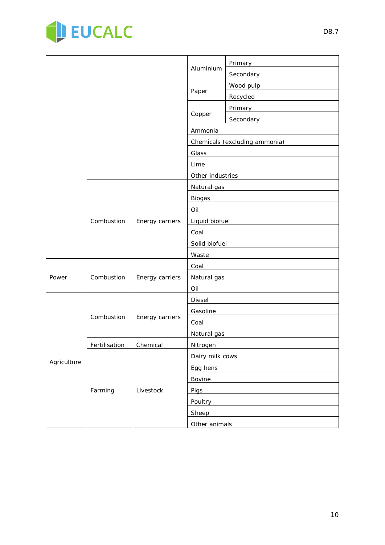

| Aluminium<br>Secondary <b>Secondary</b><br>Wood pulp<br>Paper<br>Recycled<br>Primary and the control of the control of the control of the control of the control of the control of the control of the control of the control of the control of the control of the control of the control of the control of<br>Copper<br>Secondary<br><u>Secondary</u><br>Ammonia<br>Chemicals (excluding ammonia)<br>Glass<br>Lime<br>Other industries<br>Natural gas |             |            |                 |                                  |         |  |
|-------------------------------------------------------------------------------------------------------------------------------------------------------------------------------------------------------------------------------------------------------------------------------------------------------------------------------------------------------------------------------------------------------------------------------------------------------|-------------|------------|-----------------|----------------------------------|---------|--|
|                                                                                                                                                                                                                                                                                                                                                                                                                                                       |             |            |                 |                                  | Primary |  |
|                                                                                                                                                                                                                                                                                                                                                                                                                                                       |             |            |                 |                                  |         |  |
|                                                                                                                                                                                                                                                                                                                                                                                                                                                       |             |            |                 |                                  |         |  |
|                                                                                                                                                                                                                                                                                                                                                                                                                                                       |             |            |                 |                                  |         |  |
|                                                                                                                                                                                                                                                                                                                                                                                                                                                       |             |            |                 |                                  |         |  |
|                                                                                                                                                                                                                                                                                                                                                                                                                                                       |             |            |                 |                                  |         |  |
|                                                                                                                                                                                                                                                                                                                                                                                                                                                       |             |            |                 |                                  |         |  |
|                                                                                                                                                                                                                                                                                                                                                                                                                                                       |             |            |                 |                                  |         |  |
|                                                                                                                                                                                                                                                                                                                                                                                                                                                       |             |            |                 |                                  |         |  |
|                                                                                                                                                                                                                                                                                                                                                                                                                                                       |             |            |                 |                                  |         |  |
|                                                                                                                                                                                                                                                                                                                                                                                                                                                       |             |            |                 |                                  |         |  |
|                                                                                                                                                                                                                                                                                                                                                                                                                                                       |             |            |                 |                                  |         |  |
|                                                                                                                                                                                                                                                                                                                                                                                                                                                       |             |            |                 | Biogas <b>Exercísions Biogas</b> |         |  |
| Oil                                                                                                                                                                                                                                                                                                                                                                                                                                                   |             |            |                 |                                  |         |  |
| Combustion<br>Energy carriers<br>Liquid biofuel                                                                                                                                                                                                                                                                                                                                                                                                       |             |            |                 |                                  |         |  |
| Coal                                                                                                                                                                                                                                                                                                                                                                                                                                                  |             |            |                 |                                  |         |  |
|                                                                                                                                                                                                                                                                                                                                                                                                                                                       |             |            |                 | Solid biofuel                    |         |  |
| Waste                                                                                                                                                                                                                                                                                                                                                                                                                                                 |             |            |                 |                                  |         |  |
| Coal                                                                                                                                                                                                                                                                                                                                                                                                                                                  |             |            | Energy carriers |                                  |         |  |
| Combustion<br>Natural gas<br>Power                                                                                                                                                                                                                                                                                                                                                                                                                    |             |            |                 |                                  |         |  |
| Oil                                                                                                                                                                                                                                                                                                                                                                                                                                                   |             |            |                 |                                  |         |  |
| Diesel                                                                                                                                                                                                                                                                                                                                                                                                                                                |             | Combustion | Energy carriers |                                  |         |  |
| Gasoline                                                                                                                                                                                                                                                                                                                                                                                                                                              |             |            |                 |                                  |         |  |
| Coal                                                                                                                                                                                                                                                                                                                                                                                                                                                  |             |            |                 |                                  |         |  |
| Natural gas                                                                                                                                                                                                                                                                                                                                                                                                                                           |             |            |                 |                                  |         |  |
| Chemical<br>Fertilisation<br>Nitrogen                                                                                                                                                                                                                                                                                                                                                                                                                 |             |            |                 |                                  |         |  |
| Dairy milk cows                                                                                                                                                                                                                                                                                                                                                                                                                                       |             |            |                 |                                  |         |  |
| Egg hens                                                                                                                                                                                                                                                                                                                                                                                                                                              | Agriculture |            | Livestock       |                                  |         |  |
| Bovine                                                                                                                                                                                                                                                                                                                                                                                                                                                |             |            |                 |                                  |         |  |
| Farming<br>Pigs                                                                                                                                                                                                                                                                                                                                                                                                                                       |             |            |                 |                                  |         |  |
| Poultry                                                                                                                                                                                                                                                                                                                                                                                                                                               |             |            |                 |                                  |         |  |
| Sheep                                                                                                                                                                                                                                                                                                                                                                                                                                                 |             |            |                 |                                  |         |  |
| Other animals                                                                                                                                                                                                                                                                                                                                                                                                                                         |             |            |                 |                                  |         |  |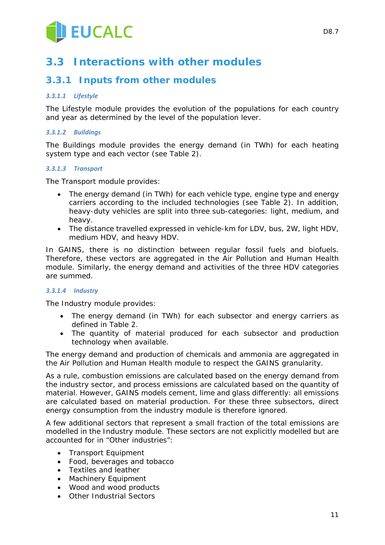

## **3.3 Interactions with other modules**

### **3.3.1 Inputs from other modules**

#### *3.3.1.1 Lifestyle*

The Lifestyle module provides the evolution of the populations for each country and year as determined by the level of the population lever.

#### *3.3.1.2 Buildings*

The Buildings module provides the energy demand (in TWh) for each heating system type and each vector (see Table 2).

#### *3.3.1.3 Transport*

The Transport module provides:

- The energy demand (in TWh) for each vehicle type, engine type and energy carriers according to the included technologies (see Table 2). In addition, heavy-duty vehicles are split into three sub-categories: light, medium, and heavy.
- The distance travelled expressed in vehicle-km for LDV, bus, 2W, light HDV, medium HDV, and heavy HDV.

In GAINS, there is no distinction between regular fossil fuels and biofuels. Therefore, these vectors are aggregated in the Air Pollution and Human Health module. Similarly, the energy demand and activities of the three HDV categories are summed.

#### *3.3.1.4 Industry*

The Industry module provides:

- The energy demand (in TWh) for each subsector and energy carriers as defined in Table 2.
- The quantity of material produced for each subsector and production technology when available.

The energy demand and production of chemicals and ammonia are aggregated in the Air Pollution and Human Health module to respect the GAINS granularity.

As a rule, combustion emissions are calculated based on the energy demand from the industry sector, and process emissions are calculated based on the quantity of material. However, GAINS models cement, lime and glass differently: all emissions are calculated based on material production. For these three subsectors, direct energy consumption from the industry module is therefore ignored.

A few additional sectors that represent a small fraction of the total emissions are modelled in the Industry module. These sectors are not explicitly modelled but are accounted for in "Other industries":

- Transport Equipment
- Food, beverages and tobacco
- Textiles and leather
- Machinery Equipment
- Wood and wood products
- Other Industrial Sectors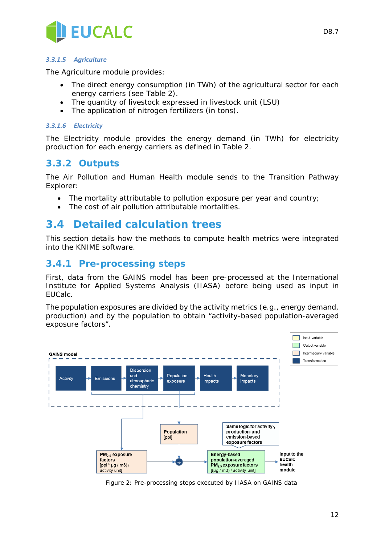

#### *3.3.1.5 Agriculture*

The Agriculture module provides:

- The direct energy consumption (in TWh) of the agricultural sector for each energy carriers (see Table 2).
- The quantity of livestock expressed in livestock unit (LSU)
- The application of nitrogen fertilizers (in tons).

#### *3.3.1.6 Electricity*

The Electricity module provides the energy demand (in TWh) for electricity production for each energy carriers as defined in Table 2.

### **3.3.2 Outputs**

The Air Pollution and Human Health module sends to the Transition Pathway Explorer:

- The mortality attributable to pollution exposure per year and country;
- The cost of air pollution attributable mortalities.

### **3.4 Detailed calculation trees**

This section details how the methods to compute health metrics were integrated into the KNIME software.

### **3.4.1 Pre-processing steps**

First, data from the GAINS model has been pre-processed at the International Institute for Applied Systems Analysis (IIASA) before being used as input in EUCalc.

The population exposures are divided by the activity metrics (e.g., energy demand, production) and by the population to obtain "activity-based population-averaged exposure factors".



*Figure 2: Pre-processing steps executed by IIASA on GAINS data*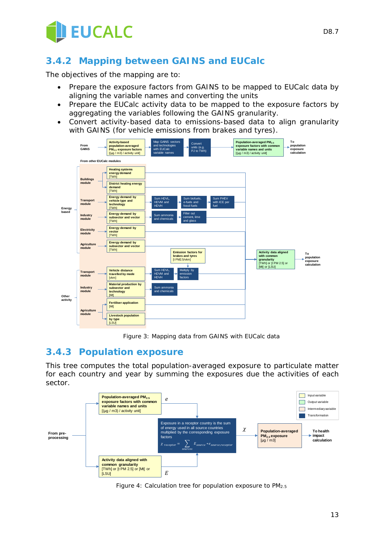

### **3.4.2 Mapping between GAINS and EUCalc**

The objectives of the mapping are to:

- Prepare the exposure factors from GAINS to be mapped to EUCalc data by aligning the variable names and converting the units
- Prepare the EUCalc activity data to be mapped to the exposure factors by aggregating the variables following the GAINS granularity.
- Convert activity-based data to emissions-based data to align granularity with GAINS (for vehicle emissions from brakes and tyres).



*Figure 3: Mapping data from GAINS with EUCalc data*

#### **3.4.3 Population exposure**

This tree computes the total population-averaged exposure to particulate matter for each country and year by summing the exposures due the activities of each sector.



*Figure 4: Calculation tree for population exposure to PM2.5*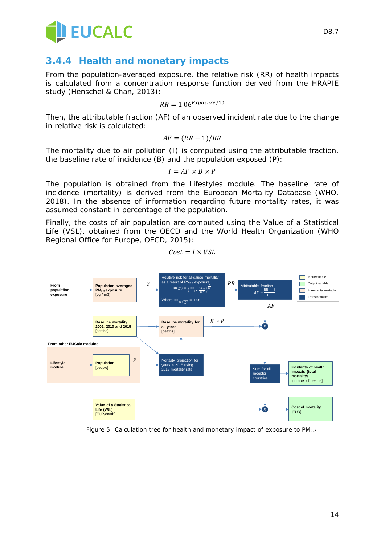

### **3.4.4 Health and monetary impacts**

From the population-averaged exposure, the relative risk (RR) of health impacts is calculated from a concentration response function derived from the HRAPIE study (Henschel & Chan, 2013):

$$
RR = 1.06^{\text{Exposure}/10}
$$

Then, the attributable fraction (AF) of an observed incident rate due to the change in relative risk is calculated:

$$
AF = (RR - 1)/RR
$$

The mortality due to air pollution (I) is computed using the attributable fraction, the baseline rate of incidence (B) and the population exposed (P):

$$
I = AF \times B \times P
$$

The population is obtained from the Lifestyles module. The baseline rate of incidence (mortality) is derived from the European Mortality Database (WHO, 2018). In the absence of information regarding future mortality rates, it was assumed constant in percentage of the population.

Finally, the costs of air population are computed using the Value of a Statistical Life (VSL), obtained from the OECD and the World Health Organization (WHO Regional Office for Europe, OECD, 2015):



$$
\mathit{Cost} = I \times VSL
$$

*Figure 5: Calculation tree for health and monetary impact of exposure to PM2.5*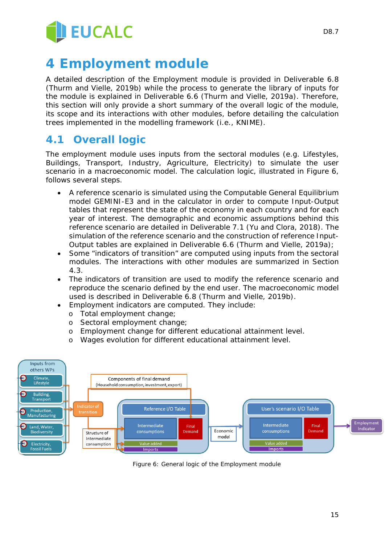

# **4 Employment module**

A detailed description of the Employment module is provided in Deliverable 6.8 (Thurm and Vielle, 2019b) while the process to generate the library of inputs for the module is explained in Deliverable 6.6 (Thurm and Vielle, 2019a). Therefore, this section will only provide a short summary of the overall logic of the module, its scope and its interactions with other modules, before detailing the calculation trees implemented in the modelling framework (i.e., KNIME).

## **4.1 Overall logic**

The employment module uses inputs from the sectoral modules (e.g. Lifestyles, Buildings, Transport, Industry, Agriculture, Electricity) to simulate the user scenario in a macroeconomic model. The calculation logic, illustrated in Figure 6, follows several steps.

- A reference scenario is simulated using the Computable General Equilibrium model GEMINI-E3 and in the calculator in order to compute Input-Output tables that represent the state of the economy in each country and for each year of interest. The demographic and economic assumptions behind this reference scenario are detailed in Deliverable 7.1 (Yu and Clora, 2018). The simulation of the reference scenario and the construction of reference Input-Output tables are explained in Deliverable 6.6 (Thurm and Vielle, 2019a);
- Some "indicators of transition" are computed using inputs from the sectoral modules. The interactions with other modules are summarized in Section 4.3.
- The indicators of transition are used to modify the reference scenario and reproduce the scenario defined by the end user. The macroeconomic model used is described in Deliverable 6.8 (Thurm and Vielle, 2019b).
	- Employment indicators are computed. They include:
		- o Total employment change;
		- o Sectoral employment change;
		- o Employment change for different educational attainment level.
		- o Wages evolution for different educational attainment level.



*Figure 6: General logic of the Employment module*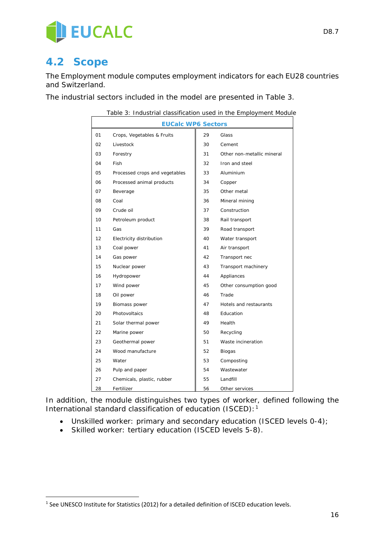

## **4.2 Scope**

-

The Employment module computes employment indicators for each EU28 countries and Switzerland.

The industrial sectors included in the model are presented in Table 3.

|    | Table 3: Industrial classification used in the Employment Module |    |                            |
|----|------------------------------------------------------------------|----|----------------------------|
|    | <b>EUCalc WP6 Sectors</b>                                        |    |                            |
| 01 | Crops, Vegetables & Fruits                                       | 29 | Glass                      |
| 02 | Livestock                                                        | 30 | Cement                     |
| 03 | Forestry                                                         | 31 | Other non-metallic mineral |
| 04 | Fish                                                             | 32 | Iron and steel             |
| 05 | Processed crops and vegetables                                   | 33 | Aluminium                  |
| 06 | Processed animal products                                        | 34 | Copper                     |
| 07 | Beverage                                                         | 35 | Other metal                |
| 08 | Coal                                                             | 36 | Mineral mining             |
| 09 | Crude oil                                                        | 37 | Construction               |
| 10 | Petroleum product                                                | 38 | Rail transport             |
| 11 | Gas                                                              | 39 | Road transport             |
| 12 | Electricity distribution                                         | 40 | Water transport            |
| 13 | Coal power                                                       | 41 | Air transport              |
| 14 | Gas power                                                        | 42 | Transport nec              |
| 15 | Nuclear power                                                    | 43 | Transport machinery        |
| 16 | Hydropower                                                       | 44 | Appliances                 |
| 17 | Wind power                                                       | 45 | Other consumption good     |
| 18 | Oil power                                                        | 46 | Trade                      |
| 19 | Biomass power                                                    | 47 | Hotels and restaurants     |
| 20 | Photovoltaics                                                    | 48 | Education                  |
| 21 | Solar thermal power                                              | 49 | Health                     |
| 22 | Marine power                                                     | 50 | Recycling                  |
| 23 | Geothermal power                                                 | 51 | Waste incineration         |
| 24 | Wood manufacture                                                 | 52 | Biogas                     |
| 25 | Water                                                            | 53 | Composting                 |
| 26 | Pulp and paper                                                   | 54 | Wastewater                 |
| 27 | Chemicals, plastic, rubber                                       | 55 | Landfill                   |
| 28 | Fertilizer                                                       | 56 | Other services             |

In addition, the module distinguishes two types of worker, defined following the International standard classification of education (ISCED):<sup>[1](#page-15-0)</sup>

- Unskilled worker: primary and secondary education (ISCED levels 0-4);
- Skilled worker: tertiary education (ISCED levels 5-8).

<span id="page-15-0"></span><sup>&</sup>lt;sup>1</sup> See UNESCO Institute for Statistics (2012) for a detailed definition of ISCED education levels.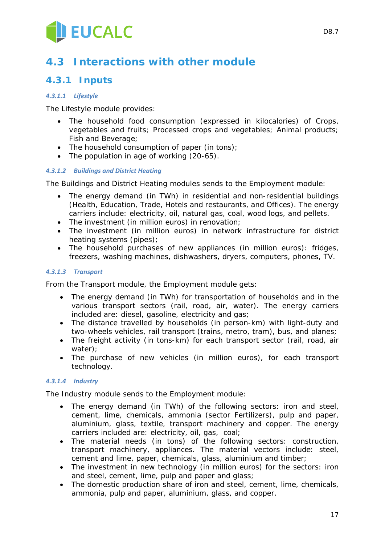

## **4.3 Interactions with other module**

### **4.3.1 Inputs**

#### *4.3.1.1 Lifestyle*

The Lifestyle module provides:

- The household food consumption (expressed in kilocalories) of Crops, vegetables and fruits; Processed crops and vegetables; Animal products; Fish and Beverage;
- The household consumption of paper (in tons);
- The population in age of working (20-65).

#### *4.3.1.2 Buildings and District Heating*

The Buildings and District Heating modules sends to the Employment module:

- The energy demand (in TWh) in residential and non-residential buildings (Health, Education, Trade, Hotels and restaurants, and Offices). The energy carriers include: electricity, oil, natural gas, coal, wood logs, and pellets.
- The investment (in million euros) in renovation;
- The investment (in million euros) in network infrastructure for district heating systems (pipes);
- The household purchases of new appliances (in million euros): fridges, freezers, washing machines, dishwashers, dryers, computers, phones, TV.

#### *4.3.1.3 Transport*

From the Transport module, the Employment module gets:

- The energy demand (in TWh) for transportation of households and in the various transport sectors (rail, road, air, water). The energy carriers included are: diesel, gasoline, electricity and gas;
- The distance travelled by households (in person-km) with light-duty and two-wheels vehicles, rail transport (trains, metro, tram), bus, and planes;
- The freight activity (in tons-km) for each transport sector (rail, road, air water);
- The purchase of new vehicles (in million euros), for each transport technology.

#### *4.3.1.4 Industry*

The Industry module sends to the Employment module:

- The energy demand (in TWh) of the following sectors: iron and steel, cement, lime, chemicals, ammonia (sector Fertilizers), pulp and paper, aluminium, glass, textile, transport machinery and copper. The energy carriers included are: electricity, oil, gas, coal;
- The material needs (in tons) of the following sectors: construction, transport machinery, appliances. The material vectors include: steel, cement and lime, paper, chemicals, glass, aluminium and timber;
- The investment in new technology (in million euros) for the sectors: iron and steel, cement, lime, pulp and paper and glass;
- The domestic production share of iron and steel, cement, lime, chemicals, ammonia, pulp and paper, aluminium, glass, and copper.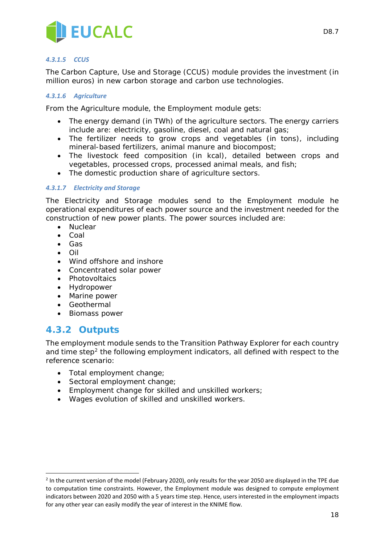

#### *4.3.1.5 CCUS*

The Carbon Capture, Use and Storage (CCUS) module provides the investment (in million euros) in new carbon storage and carbon use technologies.

#### *4.3.1.6 Agriculture*

From the Agriculture module, the Employment module gets:

- The energy demand (in TWh) of the agriculture sectors. The energy carriers include are: electricity, gasoline, diesel, coal and natural gas;
- The fertilizer needs to grow crops and vegetables (in tons), including mineral-based fertilizers, animal manure and biocompost;
- The livestock feed composition (in kcal), detailed between crops and vegetables, processed crops, processed animal meals, and fish;
- The domestic production share of agriculture sectors.

#### *4.3.1.7 Electricity and Storage*

The Electricity and Storage modules send to the Employment module he operational expenditures of each power source and the investment needed for the construction of new power plants. The power sources included are:

- Nuclear
- Coal
- Gas
- Oil
- Wind offshore and inshore
- Concentrated solar power
- Photovoltaics
- Hydropower
- Marine power
- Geothermal
- Biomass power

### **4.3.2 Outputs**

-

The employment module sends to the Transition Pathway Explorer for each country and time step<sup>[2](#page-17-0)</sup> the following employment indicators, all defined with respect to the reference scenario:

- Total employment change;
- Sectoral employment change;
- Employment change for skilled and unskilled workers;
- Wages evolution of skilled and unskilled workers.

<span id="page-17-0"></span><sup>&</sup>lt;sup>2</sup> In the current version of the model (February 2020), only results for the year 2050 are displayed in the TPE due to computation time constraints. However, the Employment module was designed to compute employment indicators between 2020 and 2050 with a 5 years time step. Hence, users interested in the employment impacts for any other year can easily modify the year of interest in the KNIME flow.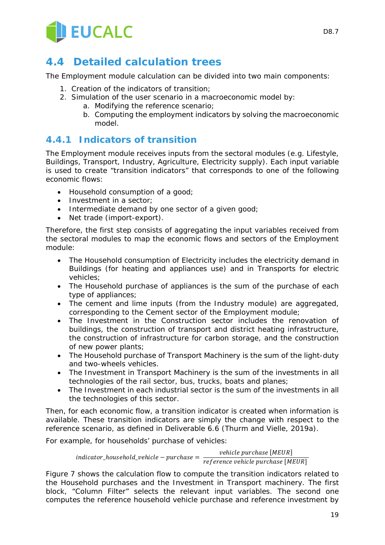

## **4.4 Detailed calculation trees**

The Employment module calculation can be divided into two main components:

- 1. Creation of the indicators of transition;
- 2. Simulation of the user scenario in a macroeconomic model by:
	- a. Modifying the reference scenario;
		- b. Computing the employment indicators by solving the macroeconomic model.

### **4.4.1 Indicators of transition**

The Employment module receives inputs from the sectoral modules (e.g. Lifestyle, Buildings, Transport, Industry, Agriculture, Electricity supply). Each input variable is used to create "transition indicators" that corresponds to one of the following economic flows:

- Household consumption of a good;
- Investment in a sector:
- Intermediate demand by one sector of a given good;
- Net trade (import-export).

Therefore, the first step consists of aggregating the input variables received from the sectoral modules to map the economic flows and sectors of the Employment module:

- The Household consumption of Electricity includes the electricity demand in Buildings (for heating and appliances use) and in Transports for electric vehicles;
- The Household purchase of appliances is the sum of the purchase of each type of appliances;
- The cement and lime inputs (from the Industry module) are aggregated, corresponding to the Cement sector of the Employment module;
- The Investment in the Construction sector includes the renovation of buildings, the construction of transport and district heating infrastructure, the construction of infrastructure for carbon storage, and the construction of new power plants;
- The Household purchase of Transport Machinery is the sum of the light-duty and two-wheels vehicles.
- The Investment in Transport Machinery is the sum of the investments in all technologies of the rail sector, bus, trucks, boats and planes;
- The Investment in each industrial sector is the sum of the investments in all the technologies of this sector.

Then, for each economic flow, a transition indicator is created when information is available. These transition indicators are simply the change with respect to the reference scenario, as defined in Deliverable 6.6 (Thurm and Vielle, 2019a).

For example, for households' purchase of vehicles:

$$
indicator\_household\_ vehicle - purchase = \frac{vehicle \, purchase \, [MEUR]}{reference \, vehicle \, purchase \, [MEUR]}
$$

Figure 7 shows the calculation flow to compute the transition indicators related to the Household purchases and the Investment in Transport machinery. The first block, "Column Filter" selects the relevant input variables. The second one computes the reference household vehicle purchase and reference investment by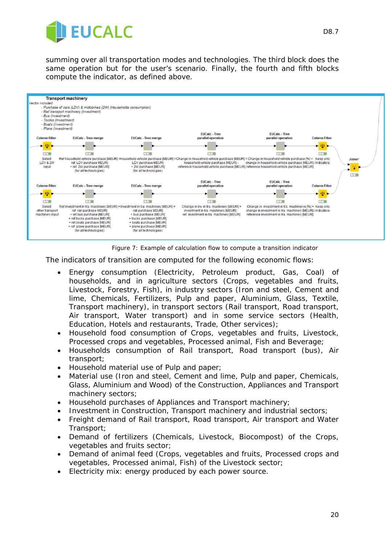

summing over all transportation modes and technologies. The third block does the same operation but for the user's scenario. Finally, the fourth and fifth blocks compute the indicator, as defined above.





The indicators of transition are computed for the following economic flows:

- Energy consumption (Electricity, Petroleum product, Gas, Coal) of households, and in agriculture sectors (Crops, vegetables and fruits, Livestock, Forestry, Fish), in industry sectors (Iron and steel, Cement and lime, Chemicals, Fertilizers, Pulp and paper, Aluminium, Glass, Textile, Transport machinery), in transport sectors (Rail transport, Road transport, Air transport, Water transport) and in some service sectors (Health, Education, Hotels and restaurants, Trade, Other services);
- Household food consumption of Crops, vegetables and fruits, Livestock, Processed crops and vegetables, Processed animal, Fish and Beverage;
- Households consumption of Rail transport, Road transport (bus), Air transport;
- Household material use of Pulp and paper;
- Material use (Iron and steel, Cement and lime, Pulp and paper, Chemicals, Glass, Aluminium and Wood) of the Construction, Appliances and Transport machinery sectors;
- Household purchases of Appliances and Transport machinery;
- Investment in Construction, Transport machinery and industrial sectors;
- Freight demand of Rail transport, Road transport, Air transport and Water Transport;
- Demand of fertilizers (Chemicals, Livestock, Biocompost) of the Crops, vegetables and fruits sector;
- Demand of animal feed (Crops, vegetables and fruits, Processed crops and vegetables, Processed animal, Fish) of the Livestock sector;
- Electricity mix: energy produced by each power source.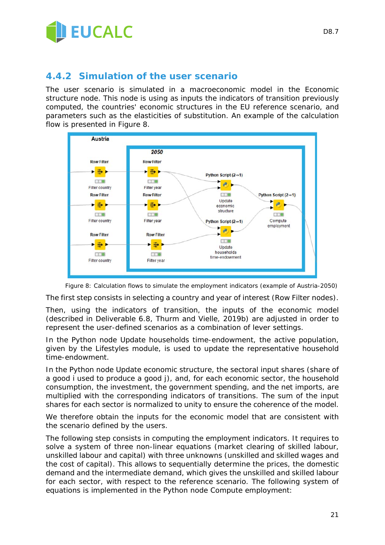

### **4.4.2 Simulation of the user scenario**

The user scenario is simulated in a macroeconomic model in the *Economic structure* node. This node is using as inputs the indicators of transition previously computed, the countries' economic structures in the EU reference scenario, and parameters such as the elasticities of substitution. An example of the calculation flow is presented in Figure 8.



*Figure 8: Calculation flows to simulate the employment indicators (example of Austria-2050)*

The first step consists in selecting a country and year of interest (*Row Filter* nodes).

Then, using the indicators of transition, the inputs of the economic model (described in Deliverable 6.8, Thurm and Vielle, 2019b) are adjusted in order to represent the user-defined scenarios as a combination of lever settings.

In the Python node *Update households time-endowment*, the active population, given by the Lifestyles module, is used to update the representative household time-endowment.

In the Python node *Update economic structure*, the sectoral input shares (share of a good *i* used to produce a good *j*), and, for each economic sector, the household consumption, the investment, the government spending, and the net imports, are multiplied with the corresponding indicators of transitions. The sum of the input shares for each sector is normalized to unity to ensure the coherence of the model.

We therefore obtain the inputs for the economic model that are consistent with the scenario defined by the users.

The following step consists in computing the employment indicators. It requires to solve a system of three non-linear equations (market clearing of skilled labour, unskilled labour and capital) with three unknowns (unskilled and skilled wages and the cost of capital). This allows to sequentially determine the prices, the domestic demand and the intermediate demand, which gives the unskilled and skilled labour for each sector, with respect to the reference scenario. The following system of equations is implemented in the Python node *Compute employment*: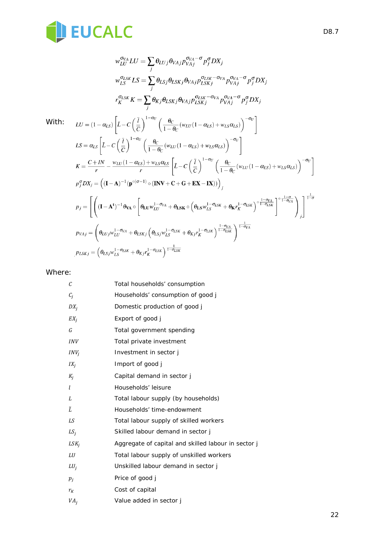

$$
w_{LU}^{\sigma_{VA}}LU = \sum_{j} \theta_{LUj} \theta_{VAj} p_{VAj}^{\sigma_{VA} - \sigma} p_{J}^{\sigma} DX_{j}
$$
\n
$$
w_{LS}^{\sigma_{LS}}LS = \sum_{j} \theta_{LSj} \theta_{LSKj} \theta_{VAj} p_{LSK}^{\sigma_{LS}} - \sigma_{VA} p_{VAj}^{\sigma_{VA} - \sigma} p_{J}^{\sigma} DX_{j}
$$
\n
$$
r_{K}^{\sigma_{LS}}K = \sum_{j} \theta_{Kj} \theta_{LSKj} \theta_{VAj} p_{LSKj}^{\sigma_{LSK} - \sigma_{VA}} p_{VAj}^{\sigma_{VA} - \sigma} p_{J}^{\sigma} DX_{j}
$$
\nWith:  
\n
$$
LU = (1 - \alpha_{LS}) \left[ \tilde{L} - C \left( \frac{\bar{l}}{\bar{c}} \right)^{1 - \sigma_{U}} \left( \frac{\theta_{C}}{1 - \theta_{C}} (w_{LU}(1 - \alpha_{LS}) + w_{LS} \alpha_{LS}) \right)^{-\sigma_{U}} \right]
$$
\n
$$
LS = \alpha_{LS} \left[ \tilde{L} - C \left( \frac{\bar{l}}{\bar{c}} \right)^{1 - \sigma_{U}} \left( \frac{\theta_{C}}{1 - \theta_{C}} (w_{LU}(1 - \alpha_{LS}) + w_{LS} \alpha_{LS}) \right)^{-\sigma_{U}} \right]
$$
\n
$$
K = \frac{C + IN}{r} - \frac{w_{LU}(1 - \alpha_{LS}) + w_{LS} \alpha_{LS}}{r} \left[ \tilde{L} - C \left( \frac{\bar{l}}{\bar{c}} \right)^{1 - \sigma_{U}} \left( \frac{\theta_{C}}{1 - \theta_{C}} (w_{LU}(1 - \alpha_{LS}) + w_{LS} \alpha_{LS}) \right)^{-\sigma_{U}} \right]
$$
\n
$$
p_{J}^{\sigma} DX_{j} = ((\mathbf{I} - \mathbf{A})^{-1} (\mathbf{p}^{\circ (\sigma - 1)} \circ (\mathbf{INV} + \mathbf{C} + \mathbf{G} + \mathbf{EX} - \mathbf{IX})) )_{j}
$$
\n
$$
p_{J} = \left[ \left( (\mathbf{I} - \mathbf{A}^{t})^{-1} \theta_{VA} \circ \left[ \theta_{LU} w_{LU}^{1 - \sigma_{VA}} + \theta_{LSK} \circ \left
$$

#### Where:

| C               | Total households' consumption                       |
|-----------------|-----------------------------------------------------|
| $C_i$           | Households' consumption of good j                   |
| $DX_i$          | Domestic production of good j                       |
| $EX_i$          | Export of good j                                    |
| G               | Total government spending                           |
| <b>INV</b>      | Total private investment                            |
| $INV_i$         | Investment in sector j                              |
| $IX_i$          | Import of good j                                    |
| $K_i$           | Capital demand in sector j                          |
| l               | Households' leisure                                 |
| L               | Total labour supply (by households)                 |
| $\tilde{L}$     | Households' time-endowment                          |
| LS              | Total labour supply of skilled workers              |
| $LS_i$          | Skilled labour demand in sector j                   |
| $LSK_j$         | Aggregate of capital and skilled labour in sector j |
| LU              | Total labour supply of unskilled workers            |
| $LU_i$          | Unskilled labour demand in sector j                 |
| $p_i$           | Price of good j                                     |
| $r_{K}$         | Cost of capital                                     |
| VA <sub>j</sub> | Value added in sector j                             |
|                 |                                                     |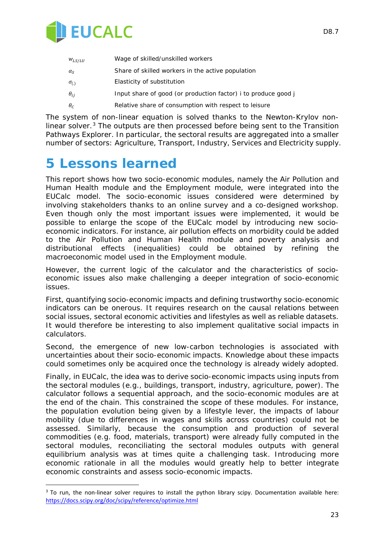

| $W_{LS/LU}$      | Wage of skilled/unskilled workers                                   |
|------------------|---------------------------------------------------------------------|
| $\alpha_{\rm S}$ | Share of skilled workers in the active population                   |
| $\sigma_{(.)}$   | Elasticity of substitution                                          |
| $\theta_{ii}$    | Input share of good (or production factor) <i>i</i> to produce good |
| $\theta_c$       | Relative share of consumption with respect to leisure               |

The system of non-linear equation is solved thanks to the Newton-Krylov nonlinear solver. $3$  The outputs are then processed before being sent to the Transition Pathways Explorer. In particular, the sectoral results are aggregated into a smaller number of sectors: Agriculture, Transport, Industry, Services and Electricity supply.

## **5 Lessons learned**

-

This report shows how two socio-economic modules, namely the Air Pollution and Human Health module and the Employment module, were integrated into the EUCalc model. The socio-economic issues considered were determined by involving stakeholders thanks to an online survey and a co-designed workshop. Even though only the most important issues were implemented, it would be possible to enlarge the scope of the EUCalc model by introducing new socioeconomic indicators. For instance, air pollution effects on morbidity could be added to the Air Pollution and Human Health module and poverty analysis and distributional effects (inequalities) could be obtained by refining the macroeconomic model used in the Employment module.

However, the current logic of the calculator and the characteristics of socioeconomic issues also make challenging a deeper integration of socio-economic issues.

First, quantifying socio-economic impacts and defining trustworthy socio-economic indicators can be onerous. It requires research on the causal relations between social issues, sectoral economic activities and lifestyles as well as reliable datasets. It would therefore be interesting to also implement qualitative social impacts in calculators.

Second, the emergence of new low-carbon technologies is associated with uncertainties about their socio-economic impacts. Knowledge about these impacts could sometimes only be acquired once the technology is already widely adopted.

Finally, in EUCalc, the idea was to derive socio-economic impacts using inputs from the sectoral modules (e.g., buildings, transport, industry, agriculture, power). The calculator follows a sequential approach, and the socio-economic modules are at the end of the chain. This constrained the scope of these modules. For instance, the population evolution being given by a lifestyle lever, the impacts of labour mobility (due to differences in wages and skills across countries) could not be assessed. Similarly, because the consumption and production of several commodities (e.g. food, materials, transport) were already fully computed in the sectoral modules, reconciliating the sectoral modules outputs with general equilibrium analysis was at times quite a challenging task. Introducing more economic rationale in all the modules would greatly help to better integrate economic constraints and assess socio-economic impacts.

<span id="page-22-0"></span> $3$  To run, the non-linear solver requires to install the python library scipy. Documentation available here: <https://docs.scipy.org/doc/scipy/reference/optimize.html>